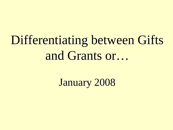# Differentiating between Gifts and Grants or…

January 2008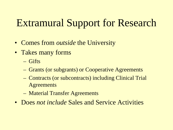### Extramural Support for Research

- Comes from *outside* the University
- Takes many forms
	- Gifts
	- Grants (or subgrants) or Cooperative Agreements
	- Contracts (or subcontracts) including Clinical Trial Agreements
	- Material Transfer Agreements
- Does *not include* Sales and Service Activities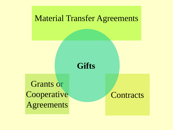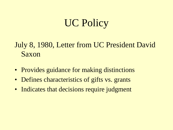### UC Policy

#### July 8, 1980, Letter from UC President David Saxon

- Provides guidance for making distinctions
- Defines characteristics of gifts vs. grants
- Indicates that decisions require judgment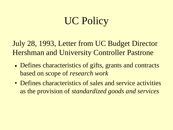## UC Policy

July 28, 1993, Letter from UC Budget Director Hershman and University Controller Pastrone

- Defines characteristics of gifts, grants and contracts based on scope of *research work*
- Defines characteristics of sales and service activities as the provision of *standardized goods and services*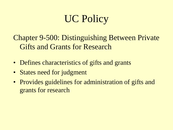## UC Policy

Chapter 9-500: Distinguishing Between Private Gifts and Grants for Research

- Defines characteristics of gifts and grants
- States need for judgment
- Provides guidelines for administration of gifts and grants for research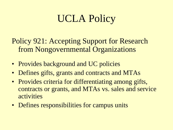## UCLA Policy

Policy 921: Accepting Support for Research from Nongovernmental Organizations

- Provides background and UC policies
- Defines gifts, grants and contracts and MTAs
- Provides criteria for differentiating among gifts, contracts or grants, and MTAs vs. sales and service activities
- Defines responsibilities for campus units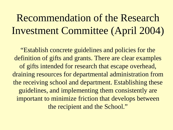### Recommendation of the Research Investment Committee (April 2004)

"Establish concrete guidelines and policies for the definition of gifts and grants. There are clear examples of gifts intended for research that escape overhead, draining resources for departmental administration from the receiving school and department. Establishing these guidelines, and implementing them consistently are important to minimize friction that develops between the recipient and the School."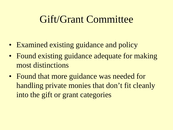#### Gift/Grant Committee

- Examined existing guidance and policy
- Found existing guidance adequate for making most distinctions
- Found that more guidance was needed for handling private monies that don't fit cleanly into the gift or grant categories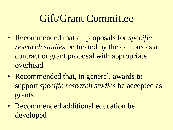### Gift/Grant Committee

- Recommended that all proposals for *specific research studies* be treated by the campus as a contract or grant proposal with appropriate overhead
- Recommended that, in general, awards to support *specific research studies* be accepted as grants
- Recommended additional education be developed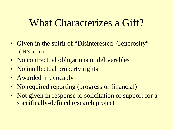#### What Characterizes a Gift?

- Given in the spirit of "Disinterested Generosity" (IRS term)
- No contractual obligations or deliverables
- No intellectual property rights
- Awarded irrevocably
- No required reporting (progress or financial)
- Not given in response to solicitation of support for a specifically-defined research project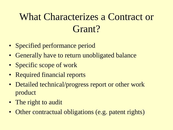### What Characterizes a Contract or Grant?

- Specified performance period
- Generally have to return unobligated balance
- Specific scope of work
- Required financial reports
- Detailed technical/progress report or other work product
- The right to audit
- Other contractual obligations (e.g. patent rights)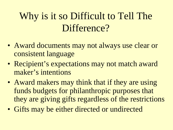### Why is it so Difficult to Tell The Difference?

- Award documents may not always use clear or consistent language
- Recipient's expectations may not match award maker's intentions
- Award makers may think that if they are using funds budgets for philanthropic purposes that they are giving gifts regardless of the restrictions
- Gifts may be either directed or undirected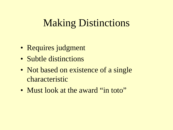### **Making Distinctions**

- Requires judgment
- Subtle distinctions
- Not based on existence of a single characteristic
- Must look at the award "in toto"